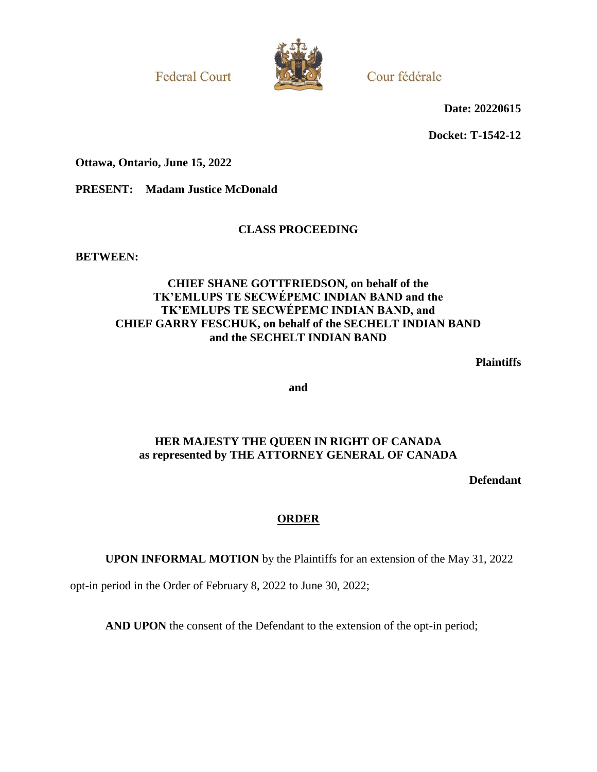**Federal Court** 



Cour fédérale

**Date: 20220615**

**Docket: T-1542-12**

**Ottawa, Ontario, June 15, 2022**

**PRESENT: Madam Justice McDonald**

# **CLASS PROCEEDING**

**BETWEEN:**

## **CHIEF SHANE GOTTFRIEDSON, on behalf of the TK'EMLUPS TE SECWÉPEMC INDIAN BAND and the TK'EMLUPS TE SECWÉPEMC INDIAN BAND, and CHIEF GARRY FESCHUK, on behalf of the SECHELT INDIAN BAND and the SECHELT INDIAN BAND**

**Plaintiffs**

**and**

# **HER MAJESTY THE QUEEN IN RIGHT OF CANADA as represented by THE ATTORNEY GENERAL OF CANADA**

**Defendant**

## **ORDER**

**UPON INFORMAL MOTION** by the Plaintiffs for an extension of the May 31, 2022

opt-in period in the Order of February 8, 2022 to June 30, 2022;

**AND UPON** the consent of the Defendant to the extension of the opt-in period;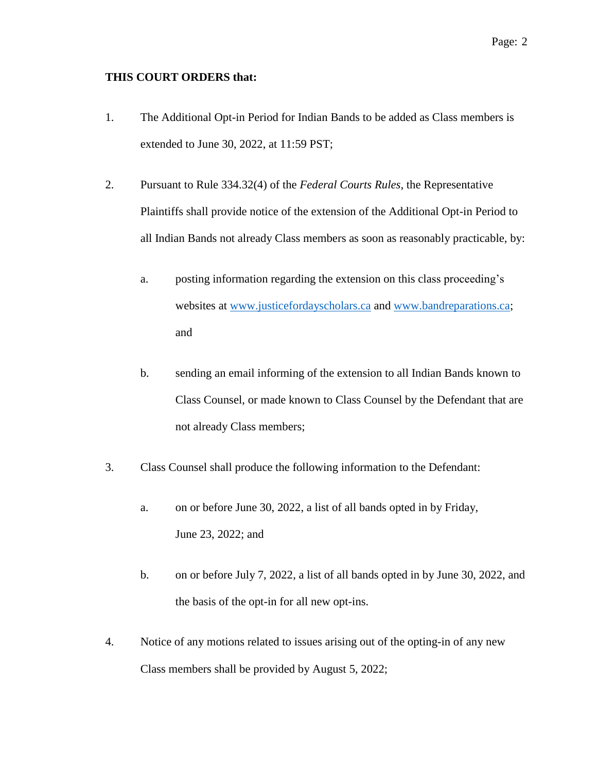### **THIS COURT ORDERS that:**

- 1. The Additional Opt-in Period for Indian Bands to be added as Class members is extended to June 30, 2022, at 11:59 PST;
- 2. Pursuant to Rule 334.32(4) of the *Federal Courts Rules*, the Representative Plaintiffs shall provide notice of the extension of the Additional Opt-in Period to all Indian Bands not already Class members as soon as reasonably practicable, by:
	- a. posting information regarding the extension on this class proceeding's websites at [www.justicefordayscholars.ca](http://www.justicefordayscholars.ca/) and [www.bandreparations.ca;](http://www.bandreparations.ca/) and
	- b. sending an email informing of the extension to all Indian Bands known to Class Counsel, or made known to Class Counsel by the Defendant that are not already Class members;
- 3. Class Counsel shall produce the following information to the Defendant:
	- a. on or before June 30, 2022, a list of all bands opted in by Friday, June 23, 2022; and
	- b. on or before July 7, 2022, a list of all bands opted in by June 30, 2022, and the basis of the opt-in for all new opt-ins.
- 4. Notice of any motions related to issues arising out of the opting-in of any new Class members shall be provided by August 5, 2022;